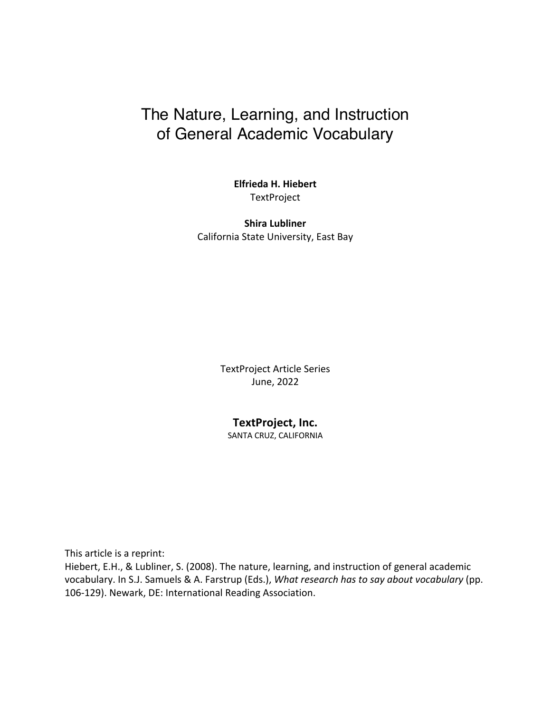# The Nature, Learning, and Instruction of General Academic Vocabulary

**Elfrieda H. Hiebert TextProject** 

**Shira Lubliner** California State University, East Bay

> TextProject Article Series June, 2022

### **TextProject, Inc.**

SANTA CRUZ, CALIFORNIA

This article is a reprint:

Hiebert, E.H., & Lubliner, S. (2008). The nature, learning, and instruction of general academic vocabulary. In S.J. Samuels & A. Farstrup (Eds.), *What research has to say about vocabulary* (pp. 106-129). Newark, DE: International Reading Association.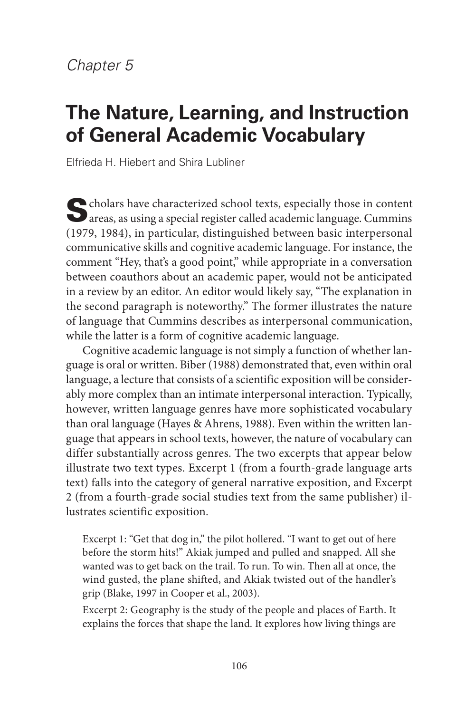# *Chapter 5*

# **The Nature, Learning, and Instruction of General Academic Vocabulary**

Elfrieda H. Hiebert and Shira Lubliner

Scholars have characterized school texts, especially those in content areas, as using a special register called academic language. Cummins (1979, 1984), in particular, distinguished between basic interpersonal communicative skills and cognitive academic language. For instance, the comment "Hey, that's a good point," while appropriate in a conversation between coauthors about an academic paper, would not be anticipated in a review by an editor. An editor would likely say, "The explanation in the second paragraph is noteworthy." The former illustrates the nature of language that Cummins describes as interpersonal communication, while the latter is a form of cognitive academic language.

Cognitive academic language is not simply a function of whether language is oral or written. Biber (1988) demonstrated that, even within oral language, a lecture that consists of a scientific exposition will be considerably more complex than an intimate interpersonal interaction. Typically, however, written language genres have more sophisticated vocabulary than oral language (Hayes & Ahrens, 1988). Even within the written language that appears in school texts, however, the nature of vocabulary can differ substantially across genres. The two excerpts that appear below illustrate two text types. Excerpt 1 (from a fourth-grade language arts text) falls into the category of general narrative exposition, and Excerpt 2 (from a fourth-grade social studies text from the same publisher) illustrates scientific exposition.

Excerpt 1: "Get that dog in," the pilot hollered. "I want to get out of here before the storm hits!" Akiak jumped and pulled and snapped. All she wanted was to get back on the trail. To run. To win. Then all at once, the wind gusted, the plane shifted, and Akiak twisted out of the handler's grip (Blake, 1997 in Cooper et al., 2003).

Excerpt 2: Geography is the study of the people and places of Earth. It explains the forces that shape the land. It explores how living things are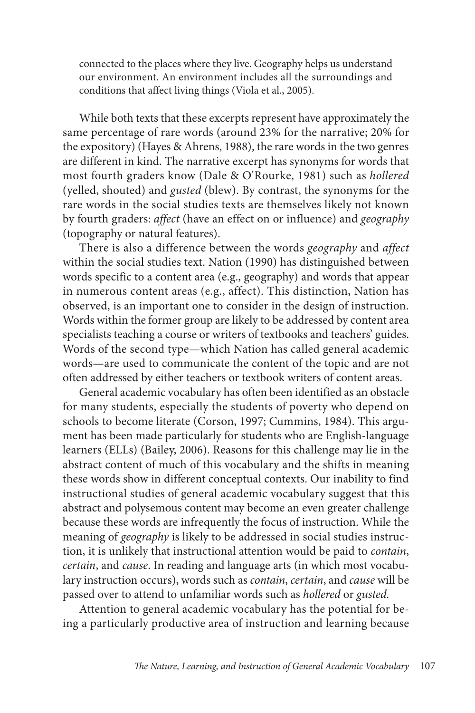connected to the places where they live. Geography helps us understand our environment. An environment includes all the surroundings and conditions that affect living things (Viola et al., 2005).

While both texts that these excerpts represent have approximately the same percentage of rare words (around 23% for the narrative; 20% for the expository) (Hayes & Ahrens, 1988), the rare words in the two genres are different in kind. The narrative excerpt has synonyms for words that most fourth graders know (Dale & O'Rourke, 1981) such as *hollered* (yelled, shouted) and *gusted* (blew). By contrast, the synonyms for the rare words in the social studies texts are themselves likely not known by fourth graders: *affect* (have an effect on or influence) and *geography* (topography or natural features).

There is also a difference between the words *geography* and *affect* within the social studies text. Nation (1990) has distinguished between words specific to a content area (e.g., geography) and words that appear in numerous content areas (e.g., affect). This distinction, Nation has observed, is an important one to consider in the design of instruction. Words within the former group are likely to be addressed by content area specialists teaching a course or writers of textbooks and teachers' guides. Words of the second type—which Nation has called general academic words—are used to communicate the content of the topic and are not often addressed by either teachers or textbook writers of content areas.

General academic vocabulary has often been identified as an obstacle for many students, especially the students of poverty who depend on schools to become literate (Corson, 1997; Cummins, 1984). This argument has been made particularly for students who are English-language learners (ELLs) (Bailey, 2006). Reasons for this challenge may lie in the abstract content of much of this vocabulary and the shifts in meaning these words show in different conceptual contexts. Our inability to find instructional studies of general academic vocabulary suggest that this abstract and polysemous content may become an even greater challenge because these words are infrequently the focus of instruction. While the meaning of *geography* is likely to be addressed in social studies instruction, it is unlikely that instructional attention would be paid to *contain*, *certain*, and *cause*. In reading and language arts (in which most vocabulary instruction occurs), words such as *contain*, *certain*, and *cause* will be passed over to attend to unfamiliar words such as *hollered* or *gusted.*

Attention to general academic vocabulary has the potential for being a particularly productive area of instruction and learning because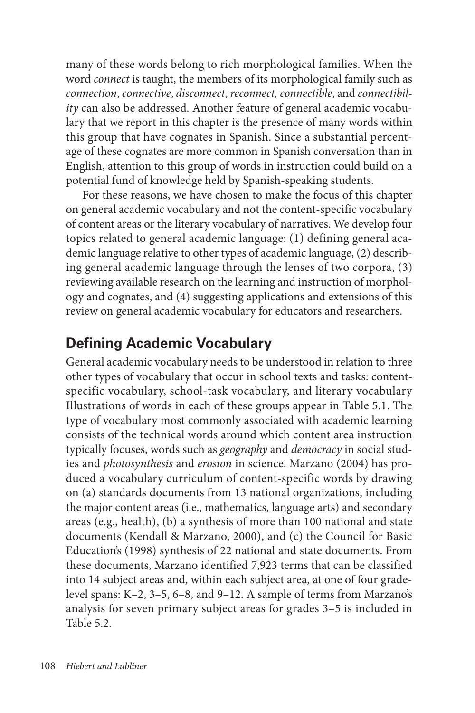many of these words belong to rich morphological families. When the word *connect* is taught, the members of its morphological family such as *connection*, *connective*, *disconnect*, *reconnect, connectible*, and *connectibility* can also be addressed. Another feature of general academic vocabulary that we report in this chapter is the presence of many words within this group that have cognates in Spanish. Since a substantial percentage of these cognates are more common in Spanish conversation than in English, attention to this group of words in instruction could build on a potential fund of knowledge held by Spanish-speaking students.

For these reasons, we have chosen to make the focus of this chapter on general academic vocabulary and not the content-specific vocabulary of content areas or the literary vocabulary of narratives. We develop four topics related to general academic language: (1) defining general academic language relative to other types of academic language, (2) describing general academic language through the lenses of two corpora, (3) reviewing available research on the learning and instruction of morphology and cognates, and (4) suggesting applications and extensions of this review on general academic vocabulary for educators and researchers.

### **Defining Academic Vocabulary**

General academic vocabulary needs to be understood in relation to three other types of vocabulary that occur in school texts and tasks: contentspecific vocabulary, school-task vocabulary, and literary vocabulary Illustrations of words in each of these groups appear in Table 5.1. The type of vocabulary most commonly associated with academic learning consists of the technical words around which content area instruction typically focuses, words such as *geography* and *democracy* in social studies and *photosynthesis* and *erosion* in science. Marzano (2004) has produced a vocabulary curriculum of content-specific words by drawing on (a) standards documents from 13 national organizations, including the major content areas (i.e., mathematics, language arts) and secondary areas (e.g., health), (b) a synthesis of more than 100 national and state documents (Kendall & Marzano, 2000), and (c) the Council for Basic Education's (1998) synthesis of 22 national and state documents. From these documents, Marzano identified 7,923 terms that can be classified into 14 subject areas and, within each subject area, at one of four gradelevel spans: K–2, 3–5, 6–8, and 9–12. A sample of terms from Marzano's analysis for seven primary subject areas for grades 3–5 is included in Table 5.2.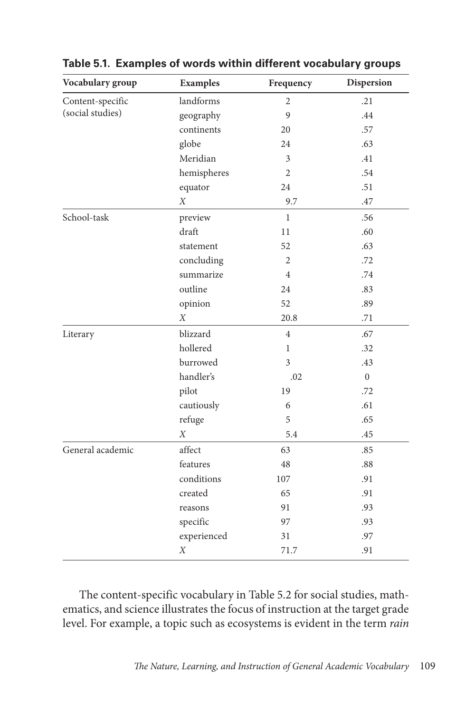| Vocabulary group                     | <b>Examples</b>  | Frequency      | <b>Dispersion</b> |
|--------------------------------------|------------------|----------------|-------------------|
| Content-specific<br>(social studies) | landforms        | $\overline{2}$ | .21               |
|                                      | geography        | 9              | .44               |
|                                      | continents       | 20             | .57               |
|                                      | globe            | 24             | .63               |
|                                      | Meridian         | 3              | .41               |
|                                      | hemispheres      | 2              | .54               |
|                                      | equator          | 24             | .51               |
|                                      | X                | 9.7            | .47               |
| School-task                          | preview          | $\mathbf{1}$   | .56               |
|                                      | draft            | 11             | .60               |
|                                      | statement        | 52             | .63               |
|                                      | concluding       | $\overline{2}$ | .72               |
|                                      | summarize        | $\overline{4}$ | .74               |
|                                      | outline          | 24             | .83               |
|                                      | opinion          | 52             | .89               |
|                                      | X                | 20.8           | .71               |
| Literary                             | blizzard         | $\overline{4}$ | .67               |
|                                      | hollered         | 1              | .32               |
|                                      | burrowed         | 3              | .43               |
|                                      | handler's        | .02            | $\overline{0}$    |
|                                      | pilot            | 19             | .72               |
|                                      | cautiously       | 6              | .61               |
|                                      | refuge           | 5              | .65               |
|                                      | $\boldsymbol{X}$ | 5.4            | .45               |
| General academic                     | affect           | 63             | .85               |
|                                      | features         | 48             | .88               |
|                                      | conditions       | 107            | .91               |
|                                      | created          | 65             | .91               |
|                                      | reasons          | 91             | .93               |
|                                      | specific         | 97             | .93               |
|                                      | experienced      | 31             | .97               |
|                                      | $\boldsymbol{X}$ | 71.7           | .91               |

**Table 5.1. Examples of words within different vocabulary groups**

The content-specific vocabulary in Table 5.2 for social studies, mathematics, and science illustrates the focus of instruction at the target grade level. For example, a topic such as ecosystems is evident in the term *rain*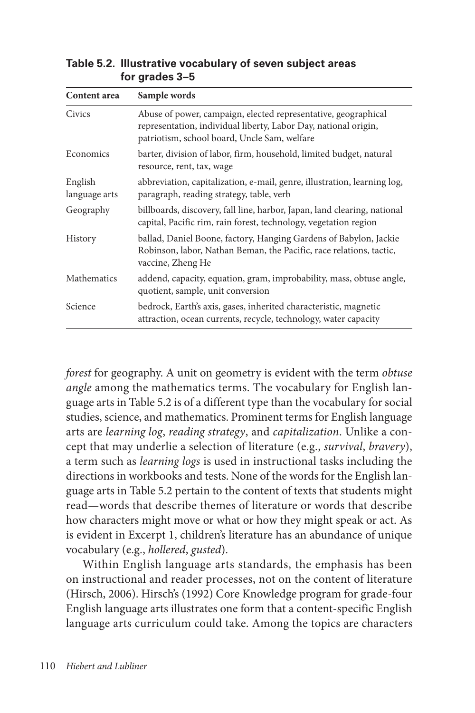| Content area             | Sample words                                                                                                                                                                      |  |
|--------------------------|-----------------------------------------------------------------------------------------------------------------------------------------------------------------------------------|--|
| Civics                   | Abuse of power, campaign, elected representative, geographical<br>representation, individual liberty, Labor Day, national origin,<br>patriotism, school board, Uncle Sam, welfare |  |
| Economics                | barter, division of labor, firm, household, limited budget, natural<br>resource, rent, tax, wage                                                                                  |  |
| English<br>language arts | abbreviation, capitalization, e-mail, genre, illustration, learning log,<br>paragraph, reading strategy, table, verb                                                              |  |
| Geography                | billboards, discovery, fall line, harbor, Japan, land clearing, national<br>capital, Pacific rim, rain forest, technology, vegetation region                                      |  |
| History                  | ballad, Daniel Boone, factory, Hanging Gardens of Babylon, Jackie<br>Robinson, labor, Nathan Beman, the Pacific, race relations, tactic,<br>vaccine, Zheng He                     |  |
| Mathematics              | addend, capacity, equation, gram, improbability, mass, obtuse angle,<br>quotient, sample, unit conversion                                                                         |  |
| Science                  | bedrock, Earth's axis, gases, inherited characteristic, magnetic<br>attraction, ocean currents, recycle, technology, water capacity                                               |  |

**Table 5.2. Illustrative vocabulary of seven subject areas for grades 3–5**

*forest* for geography. A unit on geometry is evident with the term *obtuse angle* among the mathematics terms. The vocabulary for English language arts in Table 5.2 is of a different type than the vocabulary for social studies, science, and mathematics. Prominent terms for English language arts are *learning log*, *reading strategy*, and *capitalization*. Unlike a concept that may underlie a selection of literature (e.g., *survival*, *bravery*), a term such as *learning logs* is used in instructional tasks including the directions in workbooks and tests. None of the words for the English language arts in Table 5.2 pertain to the content of texts that students might read—words that describe themes of literature or words that describe how characters might move or what or how they might speak or act. As is evident in Excerpt 1, children's literature has an abundance of unique vocabulary (e.g., *hollered*, *gusted*).

Within English language arts standards, the emphasis has been on instructional and reader processes, not on the content of literature (Hirsch, 2006). Hirsch's (1992) Core Knowledge program for grade-four English language arts illustrates one form that a content-specific English language arts curriculum could take. Among the topics are characters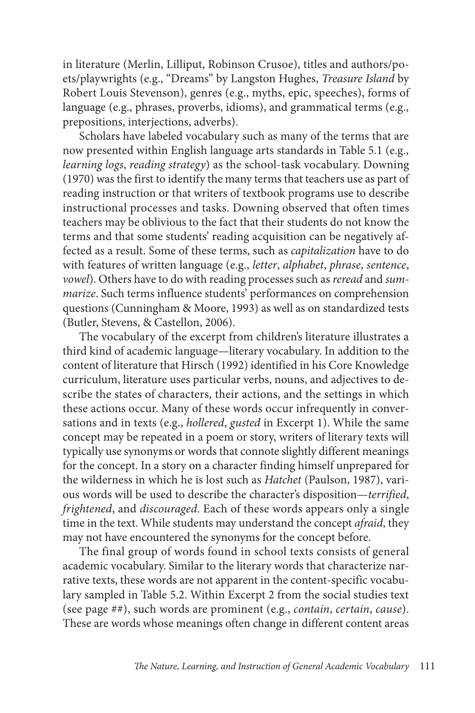in literature (Merlin, Lilliput, Robinson Crusoe), titles and authors/poets/playwrights (e.g., "Dreams" by Langston Hughes, *Treasure Island* by Robert Louis Stevenson), genres (e.g., myths, epic, speeches), forms of language (e.g., phrases, proverbs, idioms), and grammatical terms (e.g., prepositions, interjections, adverbs).

Scholars have labeled vocabulary such as many of the terms that are now presented within English language arts standards in Table 5.1 (e.g., *learning logs*, *reading strategy*) as the school-task vocabulary. Downing (1970) was the first to identify the many terms that teachers use as part of reading instruction or that writers of textbook programs use to describe instructional processes and tasks. Downing observed that often times teachers may be oblivious to the fact that their students do not know the terms and that some students' reading acquisition can be negatively affected as a result. Some of these terms, such as *capitalization* have to do with features of written language (e.g., *letter*, *alphabet*, *phrase*, *sentence*, *vowel*). Others have to do with reading processes such as *reread* and *summarize*. Such terms influence students' performances on comprehension questions (Cunningham & Moore, 1993) as well as on standardized tests (Butler, Stevens, & Castellon, 2006).

The vocabulary of the excerpt from children's literature illustrates a third kind of academic language—literary vocabulary. In addition to the content of literature that Hirsch (1992) identified in his Core Knowledge curriculum, literature uses particular verbs, nouns, and adjectives to describe the states of characters, their actions, and the settings in which these actions occur. Many of these words occur infrequently in conversations and in texts (e.g., *hollered*, *gusted* in Excerpt 1). While the same concept may be repeated in a poem or story, writers of literary texts will typically use synonyms or words that connote slightly different meanings for the concept. In a story on a character finding himself unprepared for the wilderness in which he is lost such as *Hatchet* (Paulson, 1987), various words will be used to describe the character's disposition—*terrified*, *frightened*, and *discouraged*. Each of these words appears only a single time in the text. While students may understand the concept *afraid*, they may not have encountered the synonyms for the concept before.

The final group of words found in school texts consists of general academic vocabulary. Similar to the literary words that characterize narrative texts, these words are not apparent in the content-specific vocabulary sampled in Table 5.2. Within Excerpt 2 from the social studies text (see page ##), such words are prominent (e.g., *contain*, *certain*, *cause*). These are words whose meanings often change in different content areas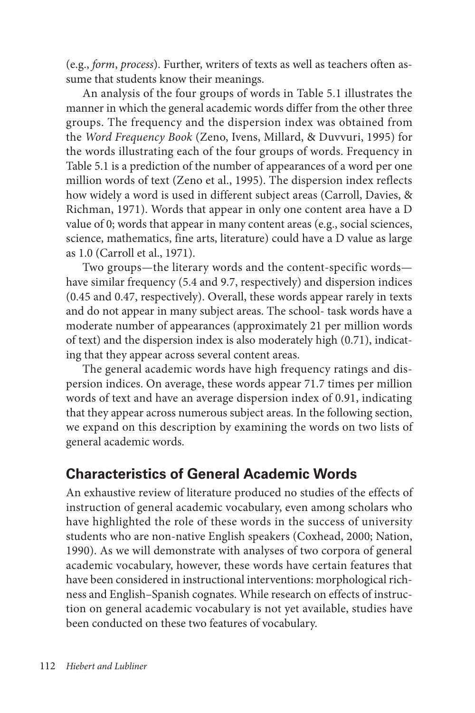(e.g., *form*, *process*). Further, writers of texts as well as teachers often assume that students know their meanings.

An analysis of the four groups of words in Table 5.1 illustrates the manner in which the general academic words differ from the other three groups. The frequency and the dispersion index was obtained from the *Word Frequency Book* (Zeno, Ivens, Millard, & Duvvuri, 1995) for the words illustrating each of the four groups of words. Frequency in Table 5.1 is a prediction of the number of appearances of a word per one million words of text (Zeno et al., 1995). The dispersion index reflects how widely a word is used in different subject areas (Carroll, Davies, & Richman, 1971). Words that appear in only one content area have a D value of 0; words that appear in many content areas (e.g., social sciences, science, mathematics, fine arts, literature) could have a D value as large as 1.0 (Carroll et al., 1971).

Two groups—the literary words and the content-specific words have similar frequency (5.4 and 9.7, respectively) and dispersion indices (0.45 and 0.47, respectively). Overall, these words appear rarely in texts and do not appear in many subject areas. The school- task words have a moderate number of appearances (approximately 21 per million words of text) and the dispersion index is also moderately high (0.71), indicating that they appear across several content areas.

The general academic words have high frequency ratings and dispersion indices. On average, these words appear 71.7 times per million words of text and have an average dispersion index of 0.91, indicating that they appear across numerous subject areas. In the following section, we expand on this description by examining the words on two lists of general academic words.

### **Characteristics of General Academic Words**

An exhaustive review of literature produced no studies of the effects of instruction of general academic vocabulary, even among scholars who have highlighted the role of these words in the success of university students who are non-native English speakers (Coxhead, 2000; Nation, 1990). As we will demonstrate with analyses of two corpora of general academic vocabulary, however, these words have certain features that have been considered in instructional interventions: morphological richness and English–Spanish cognates. While research on effects of instruction on general academic vocabulary is not yet available, studies have been conducted on these two features of vocabulary.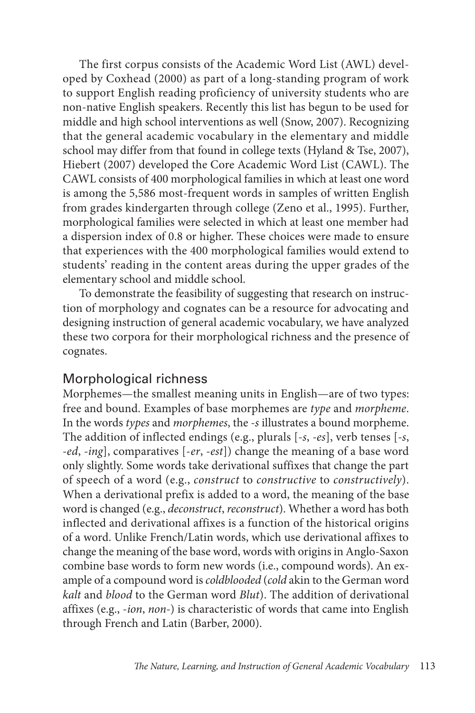The first corpus consists of the Academic Word List (AWL) developed by Coxhead (2000) as part of a long-standing program of work to support English reading proficiency of university students who are non-native English speakers. Recently this list has begun to be used for middle and high school interventions as well (Snow, 2007). Recognizing that the general academic vocabulary in the elementary and middle school may differ from that found in college texts (Hyland & Tse, 2007), Hiebert (2007) developed the Core Academic Word List (CAWL). The CAWL consists of 400 morphological families in which at least one word is among the 5,586 most-frequent words in samples of written English from grades kindergarten through college (Zeno et al., 1995). Further, morphological families were selected in which at least one member had a dispersion index of 0.8 or higher. These choices were made to ensure that experiences with the 400 morphological families would extend to students' reading in the content areas during the upper grades of the elementary school and middle school.

To demonstrate the feasibility of suggesting that research on instruction of morphology and cognates can be a resource for advocating and designing instruction of general academic vocabulary, we have analyzed these two corpora for their morphological richness and the presence of cognates.

#### Morphological richness

Morphemes—the smallest meaning units in English—are of two types: free and bound. Examples of base morphemes are *type* and *morpheme*. In the words *types* and *morphemes*, the *-s* illustrates a bound morpheme. The addition of inflected endings (e.g., plurals [*-s*, *-es*], verb tenses [*-s*, *-ed*, *-ing*], comparatives [-*er*, *-est*]) change the meaning of a base word only slightly. Some words take derivational suffixes that change the part of speech of a word (e.g., *construct* to *constructive* to *constructively*). When a derivational prefix is added to a word, the meaning of the base word is changed (e.g., *deconstruct*, *reconstruct*). Whether a word has both inflected and derivational affixes is a function of the historical origins of a word. Unlike French/Latin words, which use derivational affixes to change the meaning of the base word, words with origins in Anglo-Saxon combine base words to form new words (i.e., compound words). An example of a compound word is *coldblooded* (*cold* akin to the German word *kalt* and *blood* to the German word *Blut*). The addition of derivational affixes (e.g., -*ion*, *non-*) is characteristic of words that came into English through French and Latin (Barber, 2000).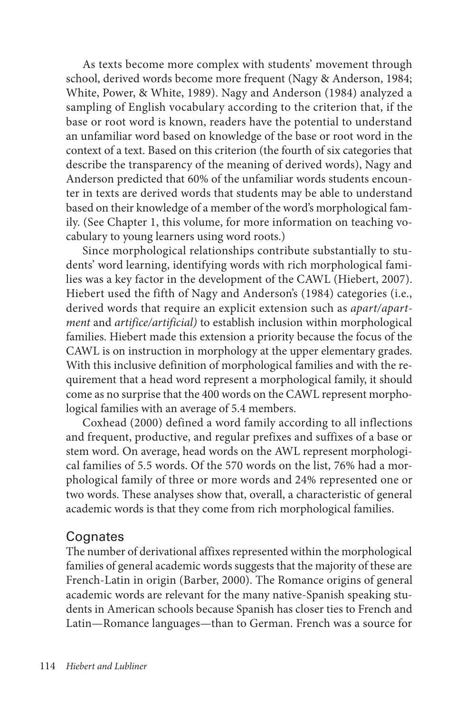As texts become more complex with students' movement through school, derived words become more frequent (Nagy & Anderson, 1984; White, Power, & White, 1989). Nagy and Anderson (1984) analyzed a sampling of English vocabulary according to the criterion that, if the base or root word is known, readers have the potential to understand an unfamiliar word based on knowledge of the base or root word in the context of a text. Based on this criterion (the fourth of six categories that describe the transparency of the meaning of derived words), Nagy and Anderson predicted that 60% of the unfamiliar words students encounter in texts are derived words that students may be able to understand based on their knowledge of a member of the word's morphological family. (See Chapter 1, this volume, for more information on teaching vocabulary to young learners using word roots.)

Since morphological relationships contribute substantially to students' word learning, identifying words with rich morphological families was a key factor in the development of the CAWL (Hiebert, 2007). Hiebert used the fifth of Nagy and Anderson's (1984) categories (i.e., derived words that require an explicit extension such as *apart/apartment* and *artifice/artificial)* to establish inclusion within morphological families. Hiebert made this extension a priority because the focus of the CAWL is on instruction in morphology at the upper elementary grades. With this inclusive definition of morphological families and with the requirement that a head word represent a morphological family, it should come as no surprise that the 400 words on the CAWL represent morphological families with an average of 5.4 members.

Coxhead (2000) defined a word family according to all inflections and frequent, productive, and regular prefixes and suffixes of a base or stem word. On average, head words on the AWL represent morphological families of 5.5 words. Of the 570 words on the list, 76% had a morphological family of three or more words and 24% represented one or two words. These analyses show that, overall, a characteristic of general academic words is that they come from rich morphological families.

#### **Cognates**

The number of derivational affixes represented within the morphological families of general academic words suggests that the majority of these are French-Latin in origin (Barber, 2000). The Romance origins of general academic words are relevant for the many native-Spanish speaking students in American schools because Spanish has closer ties to French and Latin—Romance languages—than to German. French was a source for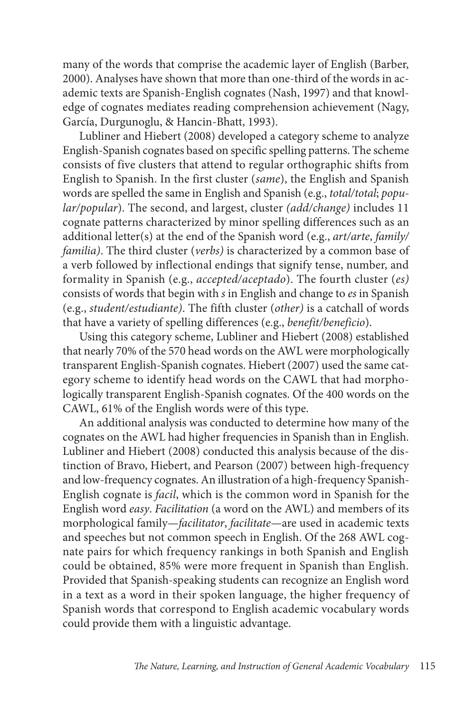many of the words that comprise the academic layer of English (Barber, 2000). Analyses have shown that more than one-third of the words in academic texts are Spanish-English cognates (Nash, 1997) and that knowledge of cognates mediates reading comprehension achievement (Nagy, García, Durgunoglu, & Hancin-Bhatt, 1993).

Lubliner and Hiebert (2008) developed a category scheme to analyze English-Spanish cognates based on specific spelling patterns. The scheme consists of five clusters that attend to regular orthographic shifts from English to Spanish. In the first cluster (*same*), the English and Spanish words are spelled the same in English and Spanish (e.g., *total/total*; *popular/popular*). The second, and largest, cluster *(add/change)* includes 11 cognate patterns characterized by minor spelling differences such as an additional letter(s) at the end of the Spanish word (e.g., *art/arte*, *family/ familia)*. The third cluster (*verbs)* is characterized by a common base of a verb followed by inflectional endings that signify tense, number, and formality in Spanish (e.g., *accepted/aceptado*). The fourth cluster (*es)* consists of words that begin with *s* in English and change to *es* in Spanish (e.g., *student/estudiante)*. The fifth cluster (*other)* is a catchall of words that have a variety of spelling differences (e.g., *benefit/beneficio*).

Using this category scheme, Lubliner and Hiebert (2008) established that nearly 70% of the 570 head words on the AWL were morphologically transparent English-Spanish cognates. Hiebert (2007) used the same category scheme to identify head words on the CAWL that had morphologically transparent English-Spanish cognates. Of the 400 words on the CAWL, 61% of the English words were of this type.

An additional analysis was conducted to determine how many of the cognates on the AWL had higher frequencies in Spanish than in English. Lubliner and Hiebert (2008) conducted this analysis because of the distinction of Bravo, Hiebert, and Pearson (2007) between high-frequency and low-frequency cognates. An illustration of a high-frequency Spanish-English cognate is *facil*, which is the common word in Spanish for the English word *easy*. *Facilitation* (a word on the AWL) and members of its morphological family*—facilitator*, *facilitate—*are used in academic texts and speeches but not common speech in English. Of the 268 AWL cognate pairs for which frequency rankings in both Spanish and English could be obtained, 85% were more frequent in Spanish than English. Provided that Spanish-speaking students can recognize an English word in a text as a word in their spoken language, the higher frequency of Spanish words that correspond to English academic vocabulary words could provide them with a linguistic advantage.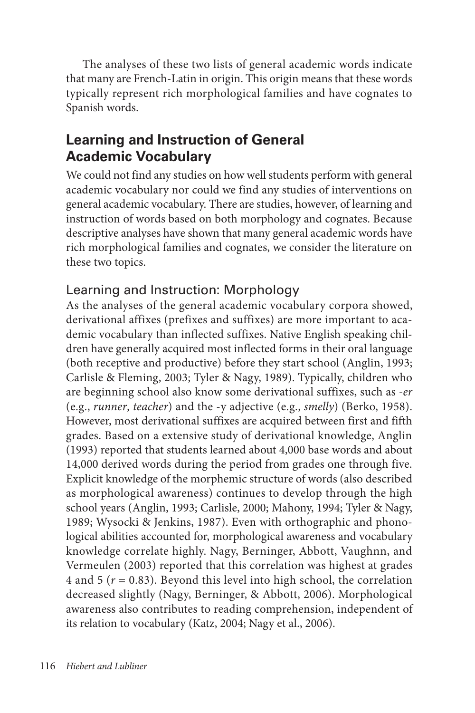The analyses of these two lists of general academic words indicate that many are French-Latin in origin. This origin means that these words typically represent rich morphological families and have cognates to Spanish words.

## **Learning and Instruction of General Academic Vocabulary**

We could not find any studies on how well students perform with general academic vocabulary nor could we find any studies of interventions on general academic vocabulary. There are studies, however, of learning and instruction of words based on both morphology and cognates. Because descriptive analyses have shown that many general academic words have rich morphological families and cognates, we consider the literature on these two topics.

### Learning and Instruction: Morphology

As the analyses of the general academic vocabulary corpora showed, derivational affixes (prefixes and suffixes) are more important to academic vocabulary than inflected suffixes. Native English speaking children have generally acquired most inflected forms in their oral language (both receptive and productive) before they start school (Anglin, 1993; Carlisle & Fleming, 2003; Tyler & Nagy, 1989). Typically, children who are beginning school also know some derivational suffixes, such as *-er* (e.g., *runner*, *teacher*) and the -y adjective (e.g., *smelly*) (Berko, 1958). However, most derivational suffixes are acquired between first and fifth grades. Based on a extensive study of derivational knowledge, Anglin (1993) reported that students learned about 4,000 base words and about 14,000 derived words during the period from grades one through five. Explicit knowledge of the morphemic structure of words (also described as morphological awareness) continues to develop through the high school years (Anglin, 1993; Carlisle, 2000; Mahony, 1994; Tyler & Nagy, 1989; Wysocki & Jenkins, 1987). Even with orthographic and phonological abilities accounted for, morphological awareness and vocabulary knowledge correlate highly. Nagy, Berninger, Abbott, Vaughnn, and Vermeulen (2003) reported that this correlation was highest at grades 4 and 5 ( $r = 0.83$ ). Beyond this level into high school, the correlation decreased slightly (Nagy, Berninger, & Abbott, 2006). Morphological awareness also contributes to reading comprehension, independent of its relation to vocabulary (Katz, 2004; Nagy et al., 2006).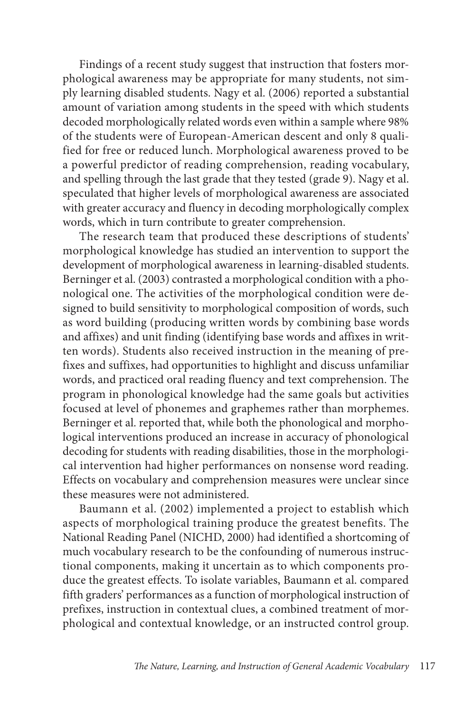Findings of a recent study suggest that instruction that fosters morphological awareness may be appropriate for many students, not simply learning disabled students. Nagy et al. (2006) reported a substantial amount of variation among students in the speed with which students decoded morphologically related words even within a sample where 98% of the students were of European-American descent and only 8 qualified for free or reduced lunch. Morphological awareness proved to be a powerful predictor of reading comprehension, reading vocabulary, and spelling through the last grade that they tested (grade 9). Nagy et al. speculated that higher levels of morphological awareness are associated with greater accuracy and fluency in decoding morphologically complex words, which in turn contribute to greater comprehension.

The research team that produced these descriptions of students' morphological knowledge has studied an intervention to support the development of morphological awareness in learning-disabled students. Berninger et al. (2003) contrasted a morphological condition with a phonological one. The activities of the morphological condition were designed to build sensitivity to morphological composition of words, such as word building (producing written words by combining base words and affixes) and unit finding (identifying base words and affixes in written words). Students also received instruction in the meaning of prefixes and suffixes, had opportunities to highlight and discuss unfamiliar words, and practiced oral reading fluency and text comprehension. The program in phonological knowledge had the same goals but activities focused at level of phonemes and graphemes rather than morphemes. Berninger et al. reported that, while both the phonological and morphological interventions produced an increase in accuracy of phonological decoding for students with reading disabilities, those in the morphological intervention had higher performances on nonsense word reading. Effects on vocabulary and comprehension measures were unclear since these measures were not administered.

Baumann et al. (2002) implemented a project to establish which aspects of morphological training produce the greatest benefits. The National Reading Panel (NICHD, 2000) had identified a shortcoming of much vocabulary research to be the confounding of numerous instructional components, making it uncertain as to which components produce the greatest effects. To isolate variables, Baumann et al. compared fifth graders' performances as a function of morphological instruction of prefixes, instruction in contextual clues, a combined treatment of morphological and contextual knowledge, or an instructed control group.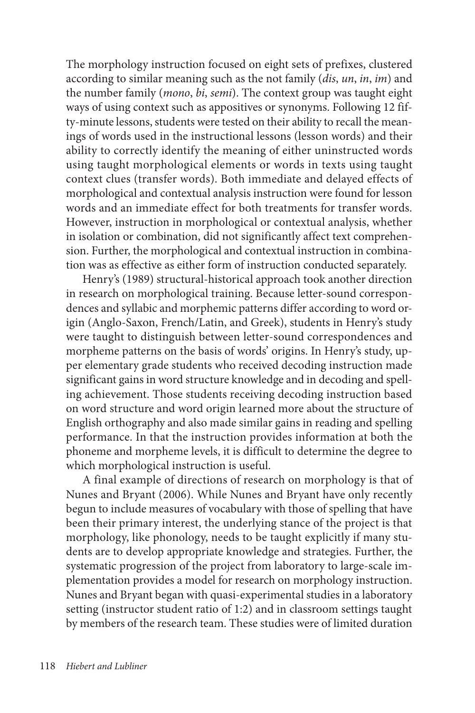The morphology instruction focused on eight sets of prefixes, clustered according to similar meaning such as the not family (*dis*, *un*, *in*, *im*) and the number family (*mono*, *bi*, *semi*). The context group was taught eight ways of using context such as appositives or synonyms. Following 12 fifty-minute lessons, students were tested on their ability to recall the meanings of words used in the instructional lessons (lesson words) and their ability to correctly identify the meaning of either uninstructed words using taught morphological elements or words in texts using taught context clues (transfer words). Both immediate and delayed effects of morphological and contextual analysis instruction were found for lesson words and an immediate effect for both treatments for transfer words. However, instruction in morphological or contextual analysis, whether in isolation or combination, did not significantly affect text comprehension. Further, the morphological and contextual instruction in combination was as effective as either form of instruction conducted separately.

Henry's (1989) structural-historical approach took another direction in research on morphological training. Because letter-sound correspondences and syllabic and morphemic patterns differ according to word origin (Anglo-Saxon, French/Latin, and Greek), students in Henry's study were taught to distinguish between letter-sound correspondences and morpheme patterns on the basis of words' origins. In Henry's study, upper elementary grade students who received decoding instruction made significant gains in word structure knowledge and in decoding and spelling achievement. Those students receiving decoding instruction based on word structure and word origin learned more about the structure of English orthography and also made similar gains in reading and spelling performance. In that the instruction provides information at both the phoneme and morpheme levels, it is difficult to determine the degree to which morphological instruction is useful.

A final example of directions of research on morphology is that of Nunes and Bryant (2006). While Nunes and Bryant have only recently begun to include measures of vocabulary with those of spelling that have been their primary interest, the underlying stance of the project is that morphology, like phonology, needs to be taught explicitly if many students are to develop appropriate knowledge and strategies. Further, the systematic progression of the project from laboratory to large-scale implementation provides a model for research on morphology instruction. Nunes and Bryant began with quasi-experimental studies in a laboratory setting (instructor student ratio of 1:2) and in classroom settings taught by members of the research team. These studies were of limited duration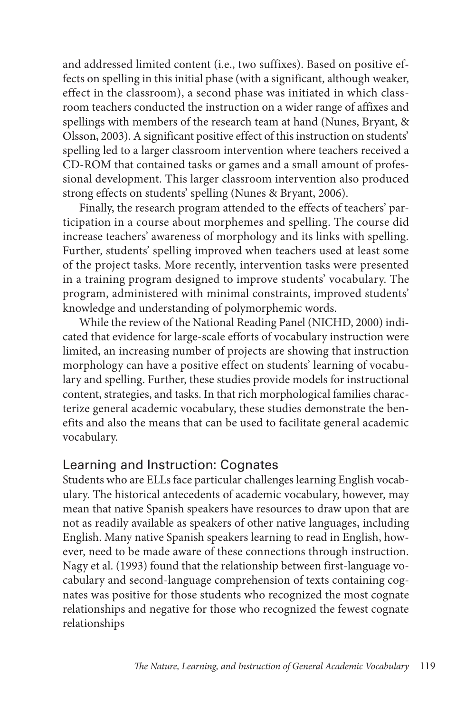and addressed limited content (i.e., two suffixes). Based on positive effects on spelling in this initial phase (with a significant, although weaker, effect in the classroom), a second phase was initiated in which classroom teachers conducted the instruction on a wider range of affixes and spellings with members of the research team at hand (Nunes, Bryant, & Olsson, 2003). A significant positive effect of this instruction on students' spelling led to a larger classroom intervention where teachers received a CD-ROM that contained tasks or games and a small amount of professional development. This larger classroom intervention also produced strong effects on students' spelling (Nunes & Bryant, 2006).

Finally, the research program attended to the effects of teachers' participation in a course about morphemes and spelling. The course did increase teachers' awareness of morphology and its links with spelling. Further, students' spelling improved when teachers used at least some of the project tasks. More recently, intervention tasks were presented in a training program designed to improve students' vocabulary. The program, administered with minimal constraints, improved students' knowledge and understanding of polymorphemic words.

While the review of the National Reading Panel (NICHD, 2000) indicated that evidence for large-scale efforts of vocabulary instruction were limited, an increasing number of projects are showing that instruction morphology can have a positive effect on students' learning of vocabulary and spelling. Further, these studies provide models for instructional content, strategies, and tasks. In that rich morphological families characterize general academic vocabulary, these studies demonstrate the benefits and also the means that can be used to facilitate general academic vocabulary.

#### Learning and Instruction: Cognates

Students who are ELLs face particular challenges learning English vocabulary. The historical antecedents of academic vocabulary, however, may mean that native Spanish speakers have resources to draw upon that are not as readily available as speakers of other native languages, including English. Many native Spanish speakers learning to read in English, however, need to be made aware of these connections through instruction. Nagy et al. (1993) found that the relationship between first-language vocabulary and second-language comprehension of texts containing cognates was positive for those students who recognized the most cognate relationships and negative for those who recognized the fewest cognate relationships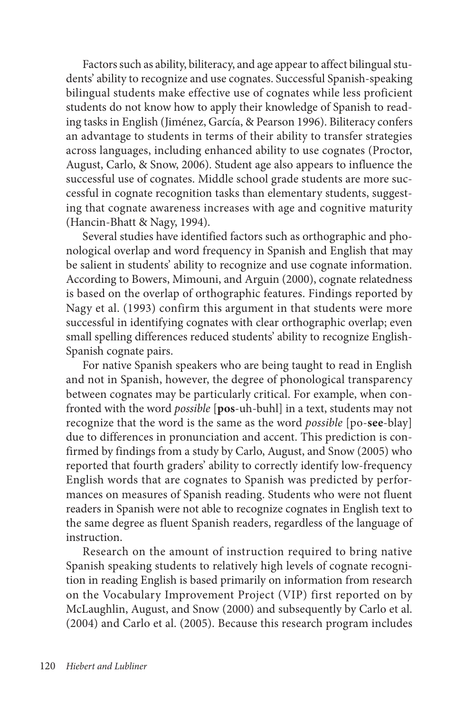Factors such as ability, biliteracy, and age appear to affect bilingual students' ability to recognize and use cognates. Successful Spanish-speaking bilingual students make effective use of cognates while less proficient students do not know how to apply their knowledge of Spanish to reading tasks in English (Jiménez, García, & Pearson 1996). Biliteracy confers an advantage to students in terms of their ability to transfer strategies across languages, including enhanced ability to use cognates (Proctor, August, Carlo, & Snow, 2006). Student age also appears to influence the successful use of cognates. Middle school grade students are more successful in cognate recognition tasks than elementary students, suggesting that cognate awareness increases with age and cognitive maturity (Hancin-Bhatt & Nagy, 1994).

Several studies have identified factors such as orthographic and phonological overlap and word frequency in Spanish and English that may be salient in students' ability to recognize and use cognate information. According to Bowers, Mimouni, and Arguin (2000), cognate relatedness is based on the overlap of orthographic features. Findings reported by Nagy et al. (1993) confirm this argument in that students were more successful in identifying cognates with clear orthographic overlap; even small spelling differences reduced students' ability to recognize English-Spanish cognate pairs.

For native Spanish speakers who are being taught to read in English and not in Spanish, however, the degree of phonological transparency between cognates may be particularly critical. For example, when confronted with the word *possible* [**pos**-uh-buhl] in a text, students may not recognize that the word is the same as the word *possible* [po-**see**-blay] due to differences in pronunciation and accent. This prediction is confirmed by findings from a study by Carlo, August, and Snow (2005) who reported that fourth graders' ability to correctly identify low-frequency English words that are cognates to Spanish was predicted by performances on measures of Spanish reading. Students who were not fluent readers in Spanish were not able to recognize cognates in English text to the same degree as fluent Spanish readers, regardless of the language of instruction.

Research on the amount of instruction required to bring native Spanish speaking students to relatively high levels of cognate recognition in reading English is based primarily on information from research on the Vocabulary Improvement Project (VIP) first reported on by McLaughlin, August, and Snow (2000) and subsequently by Carlo et al. (2004) and Carlo et al. (2005). Because this research program includes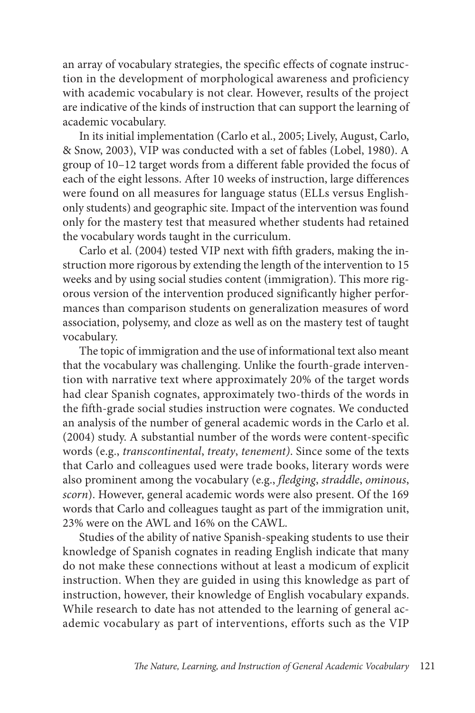an array of vocabulary strategies, the specific effects of cognate instruction in the development of morphological awareness and proficiency with academic vocabulary is not clear. However, results of the project are indicative of the kinds of instruction that can support the learning of academic vocabulary.

In its initial implementation (Carlo et al., 2005; Lively, August, Carlo, & Snow, 2003), VIP was conducted with a set of fables (Lobel, 1980). A group of 10–12 target words from a different fable provided the focus of each of the eight lessons. After 10 weeks of instruction, large differences were found on all measures for language status (ELLs versus Englishonly students) and geographic site. Impact of the intervention was found only for the mastery test that measured whether students had retained the vocabulary words taught in the curriculum.

Carlo et al. (2004) tested VIP next with fifth graders, making the instruction more rigorous by extending the length of the intervention to 15 weeks and by using social studies content (immigration). This more rigorous version of the intervention produced significantly higher performances than comparison students on generalization measures of word association, polysemy, and cloze as well as on the mastery test of taught vocabulary.

The topic of immigration and the use of informational text also meant that the vocabulary was challenging. Unlike the fourth-grade intervention with narrative text where approximately 20% of the target words had clear Spanish cognates, approximately two-thirds of the words in the fifth-grade social studies instruction were cognates. We conducted an analysis of the number of general academic words in the Carlo et al. (2004) study. A substantial number of the words were content-specific words (e.g., *transcontinental*, *treaty*, *tenement)*. Since some of the texts that Carlo and colleagues used were trade books, literary words were also prominent among the vocabulary (e.g., *fledging*, *straddle*, *ominous*, *scorn*). However, general academic words were also present. Of the 169 words that Carlo and colleagues taught as part of the immigration unit, 23% were on the AWL and 16% on the CAWL.

Studies of the ability of native Spanish-speaking students to use their knowledge of Spanish cognates in reading English indicate that many do not make these connections without at least a modicum of explicit instruction. When they are guided in using this knowledge as part of instruction, however, their knowledge of English vocabulary expands. While research to date has not attended to the learning of general academic vocabulary as part of interventions, efforts such as the VIP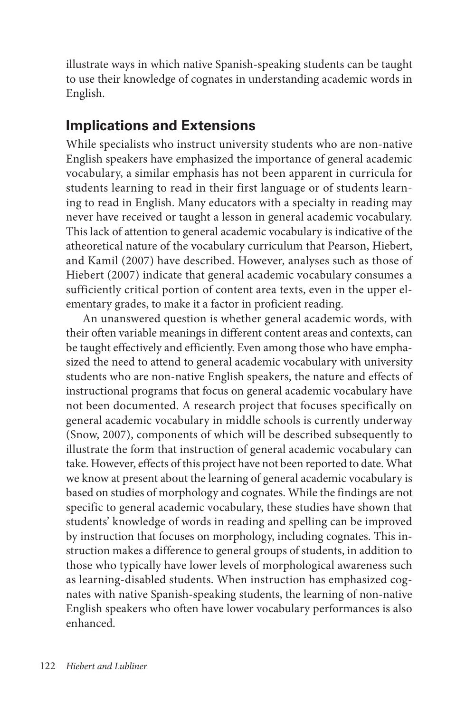illustrate ways in which native Spanish-speaking students can be taught to use their knowledge of cognates in understanding academic words in English.

## **Implications and Extensions**

While specialists who instruct university students who are non-native English speakers have emphasized the importance of general academic vocabulary, a similar emphasis has not been apparent in curricula for students learning to read in their first language or of students learning to read in English. Many educators with a specialty in reading may never have received or taught a lesson in general academic vocabulary. This lack of attention to general academic vocabulary is indicative of the atheoretical nature of the vocabulary curriculum that Pearson, Hiebert, and Kamil (2007) have described. However, analyses such as those of Hiebert (2007) indicate that general academic vocabulary consumes a sufficiently critical portion of content area texts, even in the upper elementary grades, to make it a factor in proficient reading.

An unanswered question is whether general academic words, with their often variable meanings in different content areas and contexts, can be taught effectively and efficiently. Even among those who have emphasized the need to attend to general academic vocabulary with university students who are non-native English speakers, the nature and effects of instructional programs that focus on general academic vocabulary have not been documented. A research project that focuses specifically on general academic vocabulary in middle schools is currently underway (Snow, 2007), components of which will be described subsequently to illustrate the form that instruction of general academic vocabulary can take. However, effects of this project have not been reported to date. What we know at present about the learning of general academic vocabulary is based on studies of morphology and cognates. While the findings are not specific to general academic vocabulary, these studies have shown that students' knowledge of words in reading and spelling can be improved by instruction that focuses on morphology, including cognates. This instruction makes a difference to general groups of students, in addition to those who typically have lower levels of morphological awareness such as learning-disabled students. When instruction has emphasized cognates with native Spanish-speaking students, the learning of non-native English speakers who often have lower vocabulary performances is also enhanced.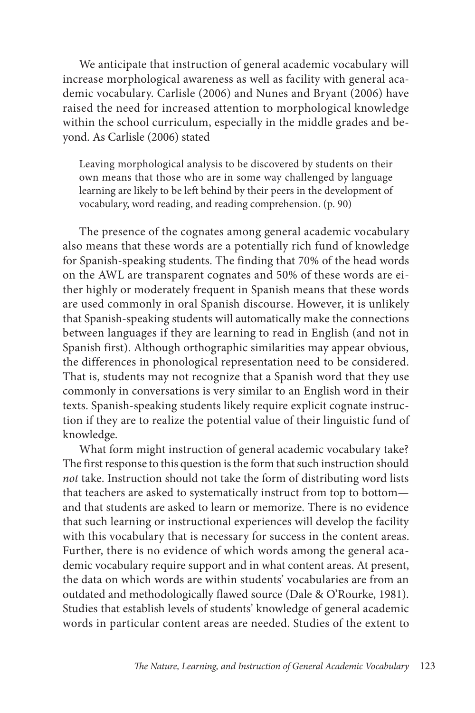We anticipate that instruction of general academic vocabulary will increase morphological awareness as well as facility with general academic vocabulary. Carlisle (2006) and Nunes and Bryant (2006) have raised the need for increased attention to morphological knowledge within the school curriculum, especially in the middle grades and beyond. As Carlisle (2006) stated

Leaving morphological analysis to be discovered by students on their own means that those who are in some way challenged by language learning are likely to be left behind by their peers in the development of vocabulary, word reading, and reading comprehension. (p. 90)

The presence of the cognates among general academic vocabulary also means that these words are a potentially rich fund of knowledge for Spanish-speaking students. The finding that 70% of the head words on the AWL are transparent cognates and 50% of these words are either highly or moderately frequent in Spanish means that these words are used commonly in oral Spanish discourse. However, it is unlikely that Spanish-speaking students will automatically make the connections between languages if they are learning to read in English (and not in Spanish first). Although orthographic similarities may appear obvious, the differences in phonological representation need to be considered. That is, students may not recognize that a Spanish word that they use commonly in conversations is very similar to an English word in their texts. Spanish-speaking students likely require explicit cognate instruction if they are to realize the potential value of their linguistic fund of knowledge.

What form might instruction of general academic vocabulary take? The first response to this question is the form that such instruction should *not* take. Instruction should not take the form of distributing word lists that teachers are asked to systematically instruct from top to bottom and that students are asked to learn or memorize. There is no evidence that such learning or instructional experiences will develop the facility with this vocabulary that is necessary for success in the content areas. Further, there is no evidence of which words among the general academic vocabulary require support and in what content areas. At present, the data on which words are within students' vocabularies are from an outdated and methodologically flawed source (Dale & O'Rourke, 1981). Studies that establish levels of students' knowledge of general academic words in particular content areas are needed. Studies of the extent to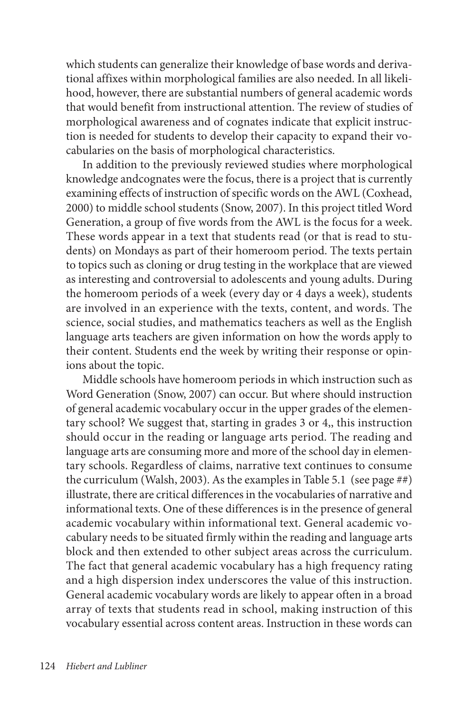which students can generalize their knowledge of base words and derivational affixes within morphological families are also needed. In all likelihood, however, there are substantial numbers of general academic words that would benefit from instructional attention. The review of studies of morphological awareness and of cognates indicate that explicit instruction is needed for students to develop their capacity to expand their vocabularies on the basis of morphological characteristics.

In addition to the previously reviewed studies where morphological knowledge andcognates were the focus, there is a project that is currently examining effects of instruction of specific words on the AWL (Coxhead, 2000) to middle school students (Snow, 2007). In this project titled Word Generation, a group of five words from the AWL is the focus for a week. These words appear in a text that students read (or that is read to students) on Mondays as part of their homeroom period. The texts pertain to topics such as cloning or drug testing in the workplace that are viewed as interesting and controversial to adolescents and young adults. During the homeroom periods of a week (every day or 4 days a week), students are involved in an experience with the texts, content, and words. The science, social studies, and mathematics teachers as well as the English language arts teachers are given information on how the words apply to their content. Students end the week by writing their response or opinions about the topic.

Middle schools have homeroom periods in which instruction such as Word Generation (Snow, 2007) can occur. But where should instruction of general academic vocabulary occur in the upper grades of the elementary school? We suggest that, starting in grades 3 or 4,, this instruction should occur in the reading or language arts period. The reading and language arts are consuming more and more of the school day in elementary schools. Regardless of claims, narrative text continues to consume the curriculum (Walsh, 2003). As the examples in Table 5.1 (see page ##) illustrate, there are critical differences in the vocabularies of narrative and informational texts. One of these differences is in the presence of general academic vocabulary within informational text. General academic vocabulary needs to be situated firmly within the reading and language arts block and then extended to other subject areas across the curriculum. The fact that general academic vocabulary has a high frequency rating and a high dispersion index underscores the value of this instruction. General academic vocabulary words are likely to appear often in a broad array of texts that students read in school, making instruction of this vocabulary essential across content areas. Instruction in these words can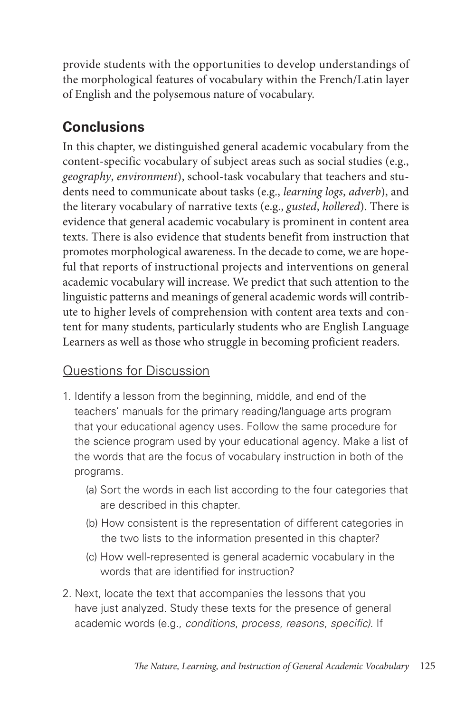provide students with the opportunities to develop understandings of the morphological features of vocabulary within the French/Latin layer of English and the polysemous nature of vocabulary.

# **Conclusions**

In this chapter, we distinguished general academic vocabulary from the content-specific vocabulary of subject areas such as social studies (e.g., *geography*, *environment*), school-task vocabulary that teachers and students need to communicate about tasks (e.g., *learning logs*, *adverb*), and the literary vocabulary of narrative texts (e.g., *gusted*, *hollered*). There is evidence that general academic vocabulary is prominent in content area texts. There is also evidence that students benefit from instruction that promotes morphological awareness. In the decade to come, we are hopeful that reports of instructional projects and interventions on general academic vocabulary will increase. We predict that such attention to the linguistic patterns and meanings of general academic words will contribute to higher levels of comprehension with content area texts and content for many students, particularly students who are English Language Learners as well as those who struggle in becoming proficient readers.

### Questions for Discussion

- 1. Identify a lesson from the beginning, middle, and end of the teachers' manuals for the primary reading/language arts program that your educational agency uses. Follow the same procedure for the science program used by your educational agency. Make a list of the words that are the focus of vocabulary instruction in both of the programs.
	- (a) Sort the words in each list according to the four categories that are described in this chapter.
	- (b) How consistent is the representation of different categories in the two lists to the information presented in this chapter?
	- (c) How well-represented is general academic vocabulary in the words that are identified for instruction?
- 2. Next, locate the text that accompanies the lessons that you have just analyzed. Study these texts for the presence of general academic words (e.g., *conditions*, *process*, *reasons*, *specific)*. If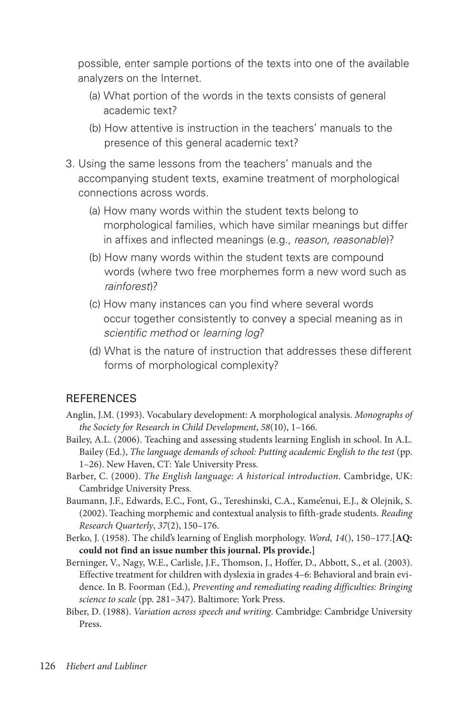possible, enter sample portions of the texts into one of the available analyzers on the Internet.

- (a) What portion of the words in the texts consists of general academic text?
- (b) How attentive is instruction in the teachers' manuals to the presence of this general academic text?
- 3. Using the same lessons from the teachers' manuals and the accompanying student texts, examine treatment of morphological connections across words.
	- (a) How many words within the student texts belong to morphological families, which have similar meanings but differ in affixes and inflected meanings (e.g., *reason*, *reasonable*)?
	- (b) How many words within the student texts are compound words (where two free morphemes form a new word such as *rainforest*)?
	- (c) How many instances can you find where several words occur together consistently to convey a special meaning as in *scientific method* or *learning log*?
	- (d) What is the nature of instruction that addresses these different forms of morphological complexity?

#### **REFERENCES**

- Anglin, J.M. (1993). Vocabulary development: A morphological analysis. *Monographs of the Society for Research in Child Development*, *58*(10), 1–166.
- Bailey, A.L. (2006). Teaching and assessing students learning English in school. In A.L. Bailey (Ed.), *The language demands of school: Putting academic English to the test* (pp. 1–26). New Haven, CT: Yale University Press.
- Barber, C. (2000). *The English language: A historical introduction*. Cambridge, UK: Cambridge University Press.
- Baumann, J.F., Edwards, E.C., Font, G., Tereshinski, C.A., Kame'enui, E.J., & Olejnik, S. (2002). Teaching morphemic and contextual analysis to fifth-grade students. *Reading Research Quarterly*, *37*(2), 150–176.
- Berko, J. (1958). The child's learning of English morphology. *Word, 14*(), 150–177.**[AQ: could not find an issue number this journal. Pls provide.]**
- Berninger, V., Nagy, W.E., Carlisle, J.F., Thomson, J., Hoffer, D., Abbott, S., et al. (2003). Effective treatment for children with dyslexia in grades 4–6: Behavioral and brain evidence. In B. Foorman (Ed.), *Preventing and remediating reading difficulties: Bringing science to scale* (pp. 281–347). Baltimore: York Press.
- Biber, D. (1988). *Variation across speech and writing*. Cambridge: Cambridge University Press.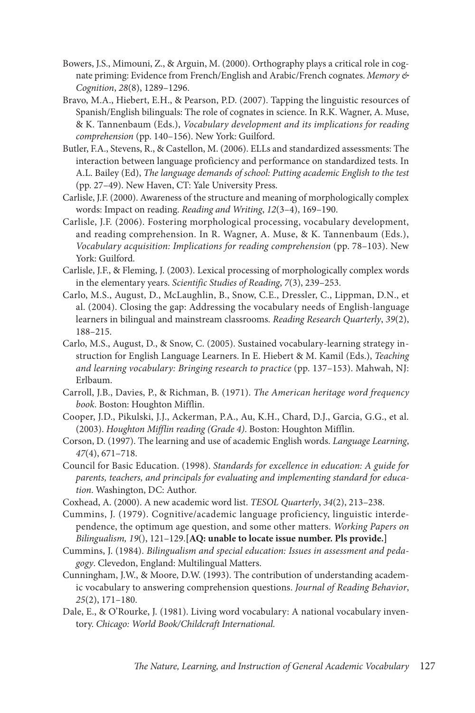- Bowers, J.S., Mimouni, Z., & Arguin, M. (2000). Orthography plays a critical role in cognate priming: Evidence from French/English and Arabic/French cognates. *Memory & Cognition*, *28*(8), 1289–1296.
- Bravo, M.A., Hiebert, E.H., & Pearson, P.D. (2007). Tapping the linguistic resources of Spanish/English bilinguals: The role of cognates in science. In R.K. Wagner, A. Muse, & K. Tannenbaum (Eds.), *Vocabulary development and its implications for reading comprehension* (pp. 140–156). New York: Guilford.
- Butler, F.A., Stevens, R., & Castellon, M. (2006). ELLs and standardized assessments: The interaction between language proficiency and performance on standardized tests. In A.L. Bailey (Ed), *The language demands of school: Putting academic English to the test* (pp. 27–49). New Haven, CT: Yale University Press.
- Carlisle, J.F. (2000). Awareness of the structure and meaning of morphologically complex words: Impact on reading. *Reading and Writing*, *12*(3–4), 169–190.
- Carlisle, J.F. (2006). Fostering morphological processing, vocabulary development, and reading comprehension. In R. Wagner, A. Muse, & K. Tannenbaum (Eds.), *Vocabulary acquisition: Implications for reading comprehension* (pp. 78–103). New York: Guilford.
- Carlisle, J.F., & Fleming, J. (2003). Lexical processing of morphologically complex words in the elementary years. *Scientific Studies of Reading*, *7*(3), 239–253.
- Carlo, M.S., August, D., McLaughlin, B., Snow, C.E., Dressler, C., Lippman, D.N., et al. (2004). Closing the gap: Addressing the vocabulary needs of English-language learners in bilingual and mainstream classrooms. *Reading Research Quarterly*, *39*(2), 188–215.
- Carlo, M.S., August, D., & Snow, C. (2005). Sustained vocabulary-learning strategy instruction for English Language Learners. In E. Hiebert & M. Kamil (Eds.), *Teaching and learning vocabulary: Bringing research to practice* (pp. 137–153). Mahwah, NJ: Erlbaum.
- Carroll, J.B., Davies, P., & Richman, B. (1971). *The American heritage word frequency book*. Boston: Houghton Mifflin.
- Cooper, J.D., Pikulski, J.J., Ackerman, P.A., Au, K.H., Chard, D.J., Garcia, G.G., et al. (2003). *Houghton Mifflin reading (Grade 4)*. Boston: Houghton Mifflin.
- Corson, D. (1997). The learning and use of academic English words. *Language Learning*, *47*(4), 671–718.
- Council for Basic Education. (1998). *Standards for excellence in education: A guide for parents, teachers, and principals for evaluating and implementing standard for education*. Washington, DC: Author.
- Coxhead, A. (2000). A new academic word list. *TESOL Quarterly*, *34*(2), 213–238.
- Cummins, J. (1979). Cognitive/academic language proficiency, linguistic interdependence, the optimum age question, and some other matters. *Working Papers on Bilingualism, 19*(), 121–129.**[AQ: unable to locate issue number. Pls provide.]**
- Cummins, J. (1984). *Bilingualism and special education: Issues in assessment and pedagogy*. Clevedon, England: Multilingual Matters.
- Cunningham, J.W., & Moore, D.W. (1993). The contribution of understanding academic vocabulary to answering comprehension questions. *Journal of Reading Behavior*, *25*(2), 171–180.
- Dale, E., & O'Rourke, J. (1981). Living word vocabulary: A national vocabulary inventory. *Chicago: World Book/Childcraft International.*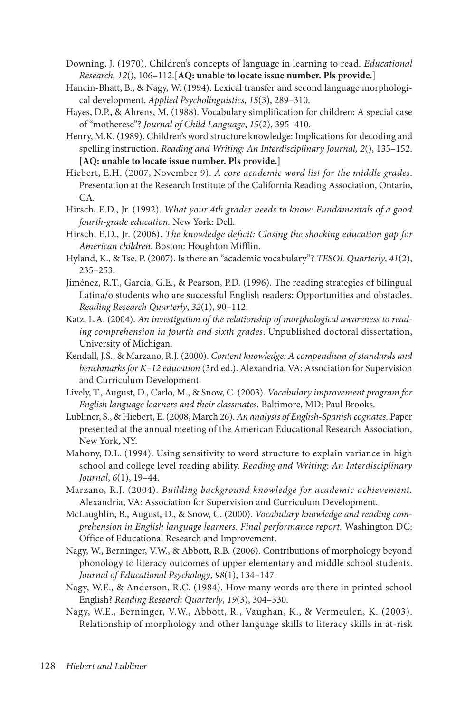- Downing, J. (1970). Children's concepts of language in learning to read. *Educational Research, 12*(), 106–112.[**AQ: unable to locate issue number. Pls provide.**]
- Hancin-Bhatt, B., & Nagy, W. (1994). Lexical transfer and second language morphological development. *Applied Psycholinguistics*, *15*(3), 289–310.
- Hayes, D.P., & Ahrens, M. (1988). Vocabulary simplification for children: A special case of "motherese"? *Journal of Child Language*, *15*(2), 395–410.
- Henry, M.K. (1989). Children's word structure knowledge: Implications for decoding and spelling instruction. *Reading and Writing: An Interdisciplinary Journal, 2*(), 135–152. **[AQ: unable to locate issue number. Pls provide.]**
- Hiebert, E.H. (2007, November 9). *A core academic word list for the middle grades*. Presentation at the Research Institute of the California Reading Association, Ontario, CA.
- Hirsch, E.D., Jr. (1992). *What your 4th grader needs to know: Fundamentals of a good fourth-grade education.* New York: Dell.
- Hirsch, E.D., Jr. (2006). *The knowledge deficit: Closing the shocking education gap for American children*. Boston: Houghton Mifflin.
- Hyland, K., & Tse, P. (2007). Is there an "academic vocabulary"? *TESOL Quarterly*, *41*(2), 235–253.
- Jiménez, R.T., García, G.E., & Pearson, P.D. (1996). The reading strategies of bilingual Latina/o students who are successful English readers: Opportunities and obstacles. *Reading Research Quarterly*, *32*(1), 90–112.
- Katz, L.A. (2004). *An investigation of the relationship of morphological awareness to reading comprehension in fourth and sixth grades*. Unpublished doctoral dissertation, University of Michigan.
- Kendall, J.S., & Marzano, R.J. (2000). *Content knowledge: A compendium of standards and benchmarks for K–12 education* (3rd ed.). Alexandria, VA: Association for Supervision and Curriculum Development.
- Lively, T., August, D., Carlo, M., & Snow, C. (2003). *Vocabulary improvement program for English language learners and their classmates.* Baltimore, MD: Paul Brooks.
- Lubliner, S., & Hiebert, E. (2008, March 26). *An analysis of English-Spanish cognates*. Paper presented at the annual meeting of the American Educational Research Association, New York, NY.
- Mahony, D.L. (1994). Using sensitivity to word structure to explain variance in high school and college level reading ability. *Reading and Writing: An Interdisciplinary Journal*, *6*(1), 19–44.
- Marzano, R.J. (2004). *Building background knowledge for academic achievement.* Alexandria, VA: Association for Supervision and Curriculum Development.
- McLaughlin, B., August, D., & Snow, C. (2000). *Vocabulary knowledge and reading comprehension in English language learners. Final performance report.* Washington DC: Office of Educational Research and Improvement.
- Nagy, W., Berninger, V.W., & Abbott, R.B. (2006). Contributions of morphology beyond phonology to literacy outcomes of upper elementary and middle school students. *Journal of Educational Psychology*, *98*(1), 134–147.
- Nagy, W.E., & Anderson, R.C. (1984). How many words are there in printed school English? *Reading Research Quarterly*, *19*(3), 304–330.
- Nagy, W.E., Berninger, V.W., Abbott, R., Vaughan, K., & Vermeulen, K. (2003). Relationship of morphology and other language skills to literacy skills in at-risk